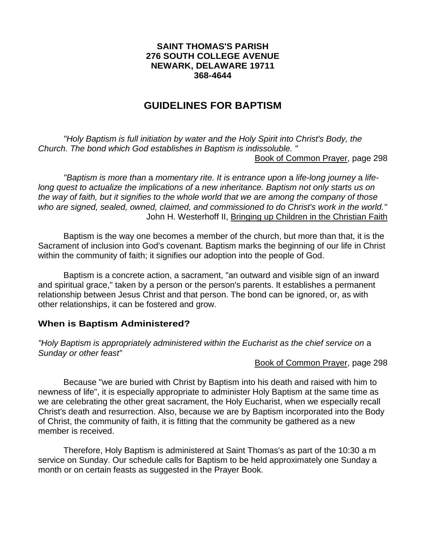## **SAINT THOMAS'S PARISH 276 SOUTH COLLEGE AVENUE NEWARK, DELAWARE 19711 368-4644**

# **GUIDELINES FOR BAPTISM**

*"Holy Baptism is full initiation by water and the Holy Spirit into Christ's Body, the Church. The bond which God establishes in Baptism is indissoluble. "*  Book of Common Prayer, page 298

*"Baptism is more than* a *momentary rite. It is entrance upon* a *life-long journey* a *lifelong quest to actualize the implications of* a *new inheritance. Baptism not only starts us on the way of faith, but it signifies to the whole world that we are among the company of those who are signed, sealed, owned, claimed, and commissioned to do Christ's work in the world."*  John H. Westerhoff II, Bringing up Children in the Christian Faith

Baptism is the way one becomes a member of the church, but more than that, it is the Sacrament of inclusion into God's covenant. Baptism marks the beginning of our life in Christ within the community of faith; it signifies our adoption into the people of God.

Baptism is a concrete action, a sacrament, "an outward and visible sign of an inward and spiritual grace," taken by a person or the person's parents. It establishes a permanent relationship between Jesus Christ and that person. The bond can be ignored, or, as with other relationships, it can be fostered and grow.

## **When is Baptism Administered?**

*"Holy Baptism is appropriately administered within the Eucharist as the chief service on* a *Sunday or other feast"*

## Book of Common Prayer, page 298

Because "we are buried with Christ by Baptism into his death and raised with him to newness of life", it is especially appropriate to administer Holy Baptism at the same time as we are celebrating the other great sacrament, the Holy Eucharist, when we especially recall Christ's death and resurrection. Also, because we are by Baptism incorporated into the Body of Christ, the community of faith, it is fitting that the community be gathered as a new member is received.

Therefore, Holy Baptism is administered at Saint Thomas's as part of the 10:30 a m service on Sunday. Our schedule calls for Baptism to be held approximately one Sunday a month or on certain feasts as suggested in the Prayer Book.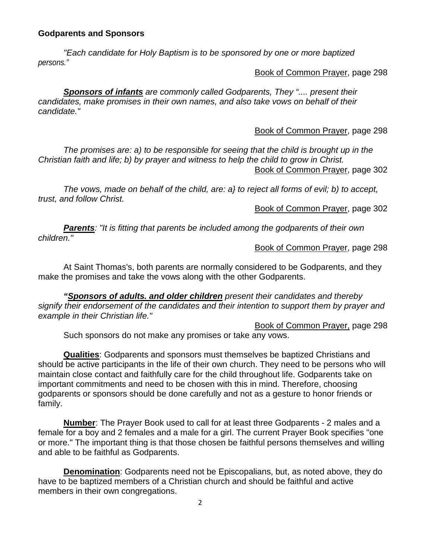## **Godparents and Sponsors**

*"Each candidate for Holy Baptism is to be sponsored by one or more baptized persons."*

Book of Common Prayer, page 298

*Sponsors of infants are commonly called Godparents, They ".... present their candidates, make promises in their own names, and also take vows on behalf of their candidate."*

Book of Common Prayer, page 298

*The promises are: a) to be responsible for seeing that the child is brought up in the Christian faith and life; b) by prayer and witness to help the child to grow in Christ.*  Book of Common Prayer, page 302

*The vows, made on behalf of the child, are: a} to reject all forms of evil; b) to accept, trust, and follow Christ.*

Book of Common Prayer, page 302

*Parents: "It is fitting that parents be included among the godparents of their own children."* 

Book of Common Prayer, page 298

At Saint Thomas's, both parents are normally considered to be Godparents, and they make the promises and take the vows along with the other Godparents.

*"Sponsors of adults. and older children present their candidates and thereby signify their endorsement of the candidates and their intention to support them by prayer and example in their Christian life."* 

Book of Common Prayer, page 298

Such sponsors do not make any promises or take any vows.

**Qualities**: Godparents and sponsors must themselves be baptized Christians and should be active participants in the life of their own church. They need to be persons who will maintain close contact and faithfully care for the child throughout life. Godparents take on important commitments and need to be chosen with this in mind. Therefore, choosing godparents or sponsors should be done carefully and not as a gesture to honor friends or family.

**Number**: The Prayer Book used to call for at least three Godparents - 2 males and a female for a boy and 2 females and a male for a girl. The current Prayer Book specifies "one or more." The important thing is that those chosen be faithful persons themselves and willing and able to be faithful as Godparents.

**Denomination**: Godparents need not be Episcopalians, but, as noted above, they do have to be baptized members of a Christian church and should be faithful and active members in their own congregations.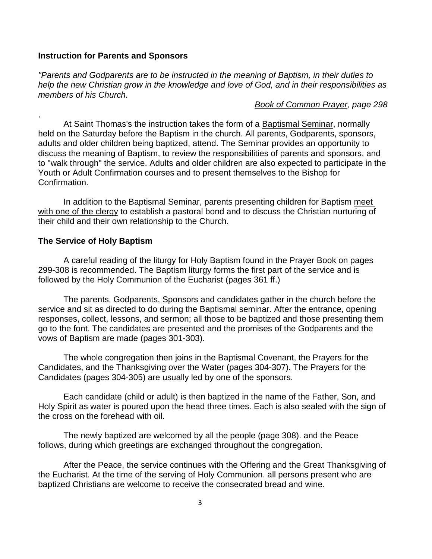#### **Instruction for Parents and Sponsors**

*"Parents and Godparents are to be instructed in the meaning of Baptism, in their duties to help the new Christian grow in the knowledge and love of God, and in their responsibilities as members of his Church.*

*Book of Common Prayer, page 298*

At Saint Thomas's the instruction takes the form of a Baptismal Seminar, normally held on the Saturday before the Baptism in the church. All parents, Godparents, sponsors, adults and older children being baptized, attend. The Seminar provides an opportunity to discuss the meaning of Baptism, to review the responsibilities of parents and sponsors, and to "walk through" the service. Adults and older children are also expected to participate in the Youth or Adult Confirmation courses and to present themselves to the Bishop for Confirmation.

In addition to the Baptismal Seminar, parents presenting children for Baptism meet with one of the clergy to establish a pastoral bond and to discuss the Christian nurturing of their child and their own relationship to the Church.

#### **The Service of Holy Baptism**

,

A careful reading of the liturgy for Holy Baptism found in the Prayer Book on pages 299-308 is recommended. The Baptism liturgy forms the first part of the service and is followed by the Holy Communion of the Eucharist (pages 361 ff.)

The parents, Godparents, Sponsors and candidates gather in the church before the service and sit as directed to do during the Baptismal seminar. After the entrance, opening responses, collect, lessons, and sermon; all those to be baptized and those presenting them go to the font. The candidates are presented and the promises of the Godparents and the vows of Baptism are made (pages 301-303).

The whole congregation then joins in the Baptismal Covenant, the Prayers for the Candidates, and the Thanksgiving over the Water (pages 304-307). The Prayers for the Candidates (pages 304-305) are usually led by one of the sponsors.

Each candidate (child or adult) is then baptized in the name of the Father, Son, and Holy Spirit as water is poured upon the head three times. Each is also sealed with the sign of the cross on the forehead with oil.

The newly baptized are welcomed by all the people (page 308). and the Peace follows, during which greetings are exchanged throughout the congregation.

After the Peace, the service continues with the Offering and the Great Thanksgiving of the Eucharist. At the time of the serving of Holy Communion. all persons present who are baptized Christians are welcome to receive the consecrated bread and wine.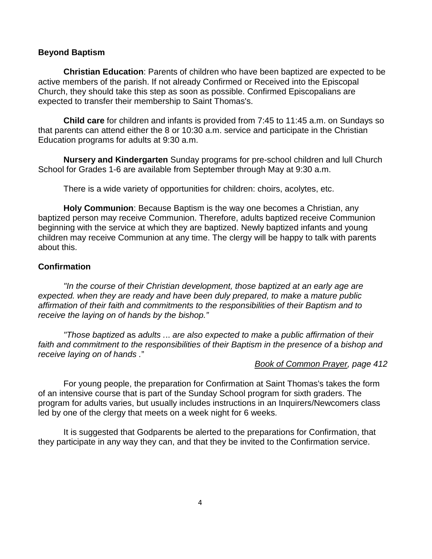### **Beyond Baptism**

**Christian Education**: Parents of children who have been baptized are expected to be active members of the parish. If not already Confirmed or Received into the Episcopal Church, they should take this step as soon as possible. Confirmed Episcopalians are expected to transfer their membership to Saint Thomas's.

**Child care** for children and infants is provided from 7:45 to 11:45 a.m. on Sundays so that parents can attend either the 8 or 10:30 a.m. service and participate in the Christian Education programs for adults at 9:30 a.m.

**Nursery and Kindergarten** Sunday programs for pre-school children and lull Church School for Grades 1-6 are available from September through May at 9:30 a.m.

There is a wide variety of opportunities for children: choirs, acolytes, etc.

**Holy Communion**: Because Baptism is the way one becomes a Christian, any baptized person may receive Communion. Therefore, adults baptized receive Communion beginning with the service at which they are baptized. Newly baptized infants and young children may receive Communion at any time. The clergy will be happy to talk with parents about this.

## **Confirmation**

*"In the course of their Christian development, those baptized at an early age are*  expected. when they are ready and have been duly prepared, to make a mature public *affirmation of their faith and commitments to the responsibilities of their Baptism and to receive the laying on of hands by the bishop."*

*"Those baptized* as *adults .*.. *are also expected to make* a *public affirmation of their*  faith and commitment to the responsibilities of their Baptism in the presence of a bishop and *receive laying on of hands .*"

#### *Book of Common Prayer, page 412*

For young people, the preparation for Confirmation at Saint Thomas's takes the form of an intensive course that is part of the Sunday School program for sixth graders. The program for adults varies, but usually includes instructions in an Inquirers/Newcomers class led by one of the clergy that meets on a week night for 6 weeks.

It is suggested that Godparents be alerted to the preparations for Confirmation, that they participate in any way they can, and that they be invited to the Confirmation service.